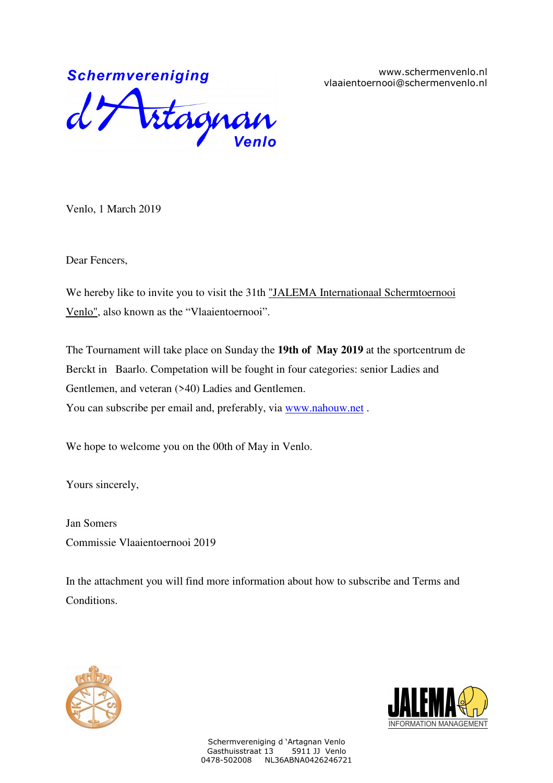www.schermenvenlo.nl vlaaientoernooi@schermenvenlo.nl



Venlo, 1 March 2019

Dear Fencers,

We hereby like to invite you to visit the 31th "JALEMA Internationaal Schermtoernooi Venlo", also known as the "Vlaaientoernooi".

The Tournament will take place on Sunday the **19th of May 2019** at the sportcentrum de Berckt in Baarlo. Competation will be fought in four categories: senior Ladies and Gentlemen, and veteran (>40) Ladies and Gentlemen. You can subscribe per email and, preferably, via www.nahouw.net .

We hope to welcome you on the 00th of May in Venlo.

Yours sincerely,

Jan Somers Commissie Vlaaientoernooi 2019

In the attachment you will find more information about how to subscribe and Terms and Conditions.